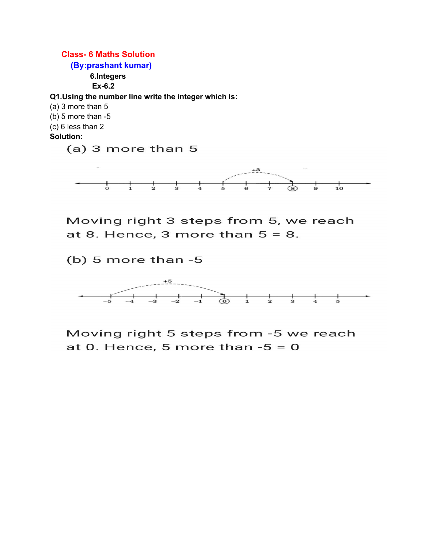

Moving right 3 steps from 5, we reach at 8. Hence, 3 more than  $5 = 8$ .

 $(b)$  5 more than -5



Moving right 5 steps from -5 we reach at 0. Hence, 5 more than  $-5 = 0$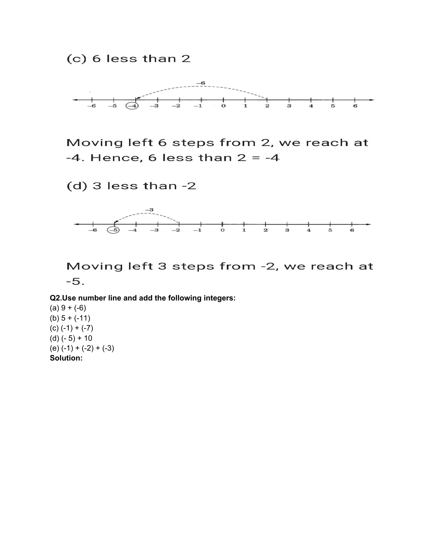$(c)$  6 less than 2



Moving left 6 steps from 2, we reach at  $-4.$  Hence, 6 less than  $2 = -4$ 

 $(d)$  3 less than -2



Moving left 3 steps from -2, we reach at  $-5.$ 

**Q2.Use number line and add the following integers:**

 $(a) 9 + (-6)$  $(b) 5 + (-11)$  $(c) (-1) + (-7)$ (d) (- 5) + 10  $(e) (-1) + (-2) + (-3)$ **Solution:**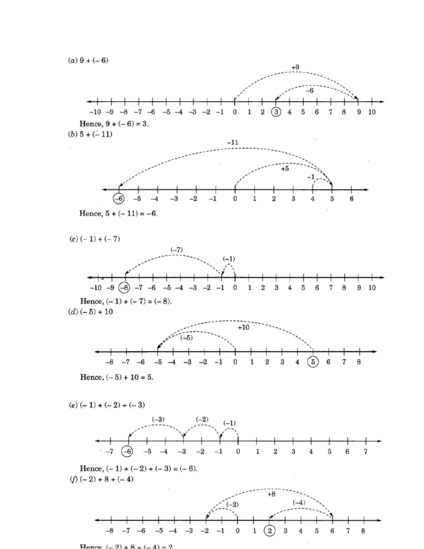$(a) 9 + (-6)$ 



Hence  $(-2) + 8 + (-4) = 2$ .

 $-8$   $-7$   $-6$ 

 $-3$ 

 $-5$   $-4$ 

 $-2$   $-1$ 

 $\pmb{0}$ 

 $\mathbf{2}$ 

 $\bf{3}$ 

 $\bf{4}$ 

1

 $\bf 5$ 

6

7

8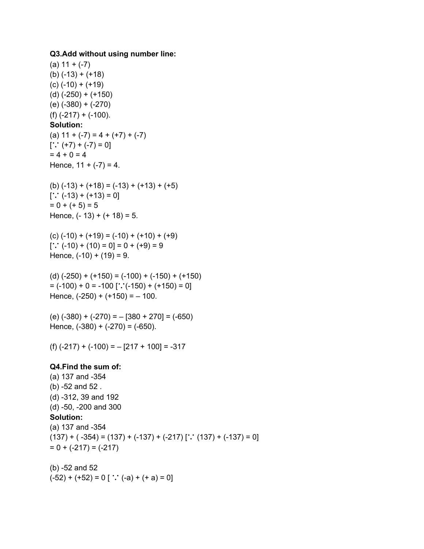## **Q3.Add without using number line:**

 $(a) 11 + (-7)$  $(b) (-13) + (+18)$  $(c)$  (-10) + (+19) (d) (-250) + (+150) (e) (-380) + (-270) (f) (-217) + (-100). **Solution:** (a)  $11 + (-7) = 4 + (+7) + (-7)$  $[\cdot \cdot (+7) + (-7) = 0]$  $= 4 + 0 = 4$ Hence,  $11 + (-7) = 4$ .  $(b) (-13) + (+18) = (-13) + (+13) + (+5)$  $[\cdot \cdot (-13) + (+13) = 0]$  $= 0 + (+ 5) = 5$ Hence,  $(-13) + (+18) = 5$ .  $(c) (-10) + (+19) = (-10) + (+10) + (+9)$  $[\cdot \cdot (-10) + (10) = 0] = 0 + (+9) = 9$ Hence,  $(-10) + (19) = 9$ . (d) (-250) + (+150) = (-100) + (-150) + (+150)  $= (-100) + 0 = -100$  ['∴'(-150) + (+150) = 0] Hence,  $(-250) + (+150) = -100$ . (e) (-380) + (-270) = – [380 + 270] = (-650) Hence,  $(-380) + (-270) = (-650)$ .  $(f) (-217) + (-100) = -[217 + 100] = -317$ **Q4.Find the sum of:** (a) 137 and -354 (b) -52 and 52 . (d) -312, 39 and 192 (d) -50, -200 and 300 **Solution:** (a) 137 and -354  $(137) + (-354) = (137) + (-137) + (-217)$  [∵ (137) + (-137) = 0]  $= 0 + (-217) = (-217)$ (b) -52 and 52

 $(-52) + (+52) = 0$  [ ∵  $(-a) + (+a) = 0$ ]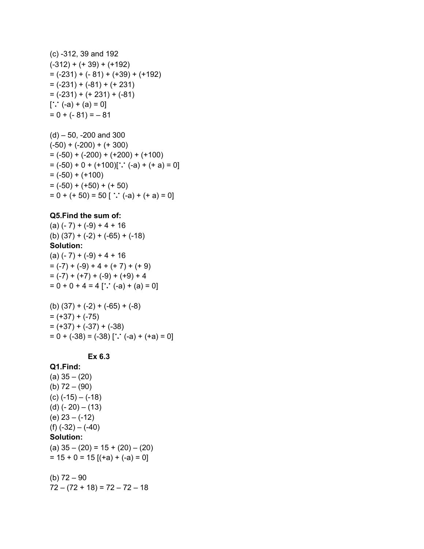(c) -312, 39 and 192  $(-312) + (+39) + (+192)$  $= (-231) + (-81) + (+39) + (+192)$  $= (-231) + (-81) + (+231)$  $= (-231) + (+231) + (-81)$  $[$ ∵ (-a) + (a) = 0]  $= 0 + (-81) = -81$ 

 $(d) - 50$ , -200 and 300  $(-50) + (-200) + (+300)$  $= (-50) + (-200) + (+200) + (+100)$  $= (-50) + 0 + (+100)[$ ;  $(-a) + (+a) = 0]$  $= (-50) + (+100)$  $= (-50) + (+50) + (+50)$  $= 0 + (+ 50) = 50$  [ ∵ (-a) + (+ a) = 0]

## **Q5.Find the sum of:**

 $(a) (-7) + (-9) + 4 + 16$ (b)  $(37) + (-2) + (-65) + (-18)$ **Solution:**  $(a) (-7) + (-9) + 4 + 16$  $= (-7) + (-9) + 4 + (+7) + (+9)$  $= (-7) + (+7) + (-9) + (+9) + 4$  $= 0 + 0 + 4 = 4$  [∵ (-a) + (a) = 0]

 $(b)$  (37) + (-2) + (-65) + (-8)  $= (+37) + (-75)$  $= (+37) + (-37) + (-38)$  $= 0 + (-38) = (-38)$   $[\cdot \cdot \cdot (-a) + (+a) = 0]$ 

## **Ex 6.3**

**Q1.Find:** (a) 35 – (20) (b) 72 – (90) (c) (-15) – (-18) (d) (- 20) – (13) (e) 23 – (-12) (f) (-32) – (-40) **Solution:** (a) 35 – (20) = 15 + (20) – (20)  $= 15 + 0 = 15$  [(+a) + (-a) = 0]

(b)  $72 - 90$ 

 $72 - (72 + 18) = 72 - 72 - 18$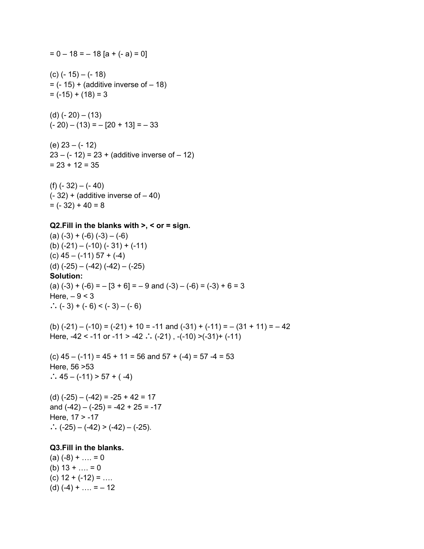$= 0 - 18 = -18$  [a + (- a) = 0] (c) (- 15) – (- 18)  $= (-15) + (additive inverse of - 18)$  $= (-15) + (18) = 3$ (d) (- 20) – (13)  $(-20) - (13) = -[20 + 13] = -33$ (e) 23 – (- 12)  $23 - (-12) = 23 + (additive inverse of - 12)$  $= 23 + 12 = 35$ (f) (- 32) – (- 40)  $(-32)$  + (additive inverse of  $-40$ )  $= (-32) + 40 = 8$ **Q2.Fill in the blanks with >, < or = sign.**  $(a) (-3) + (-6) (-3) - (-6)$ (b)  $(-21) - (-10) (-31) + (-11)$  $(c)$  45 – (-11) 57 + (-4) (d) (-25) – (-42) (-42) – (-25) **Solution:** (a)  $(-3) + (-6) = -[3 + 6] = -9$  and  $(-3) - (-6) = (-3) + 6 = 3$ Here,  $-9 < 3$ ∴  $(-3) + (-6) < (-3) - (-6)$ (b)  $(-21) - (-10) = (-21) + 10 = -11$  and  $(-31) + (-11) = -(31 + 11) = -42$ Here,  $-42 < -11$  or  $-11 > -42$  ∴  $(-21)$ ,  $-(-10) > (-31) + (-11)$ (c)  $45 - (-11) = 45 + 11 = 56$  and  $57 + (-4) = 57 - 4 = 53$ Here, 56 >53 ∴ 45 – (-11) > 57 + ( $-4$ ) (d) (-25) – (-42) = -25 + 42 = 17 and  $(-42) - (-25) = -42 + 25 = -17$ Here, 17 > -17 ∴  $(-25) - (-42)$  >  $(-42) - (-25)$ . **Q3.Fill in the blanks.**  $(a) (-8) + ... = 0$ (b)  $13 + ... = 0$  $(c)$  12 +  $(-12)$  = ...  $(d) (-4) + ... = -12$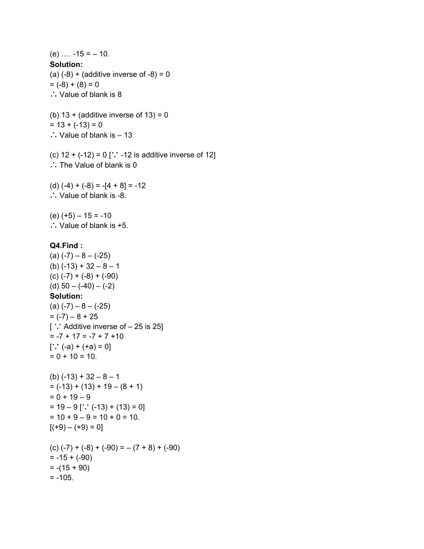$(e)$  ....  $-15 = -10$ . **Solution:** (a)  $(-8) +$  (additive inverse of  $-8$ ) = 0  $= (-8) + (8) = 0$ ∴ Value of blank is 8 (b)  $13 +$  (additive inverse of  $13 = 0$  $= 13 + (-13) = 0$ ∴ Value of blank is – 13 (c)  $12 + (-12) = 0$  [∵ -12 is additive inverse of 12] ∴ The Value of blank is 0 (d) (-4) + (-8) = -[4 + 8] = -12 ∴ Value of blank is -8. (e) (+5) – 15 = -10 ∴ Value of blank is +5. **Q4.Find :**  $(a) (-7) - 8 - (-25)$  $(b)$  (-13) + 32 – 8 – 1 (c) (-7) + (-8) + (-90) (d)  $50 - (-40) - (-2)$ **Solution:**  $(a) (-7) - 8 - (-25)$  $= (-7) - 8 + 25$ [ ∵ Additive inverse of – 25 is 25]  $= -7 + 17 = -7 + 7 + 10$  $[∵ (-a) + (+a) = 0]$  $= 0 + 10 = 10.$  $(b)$  (-13) + 32 – 8 – 1  $= (-13) + (13) + 19 - (8 + 1)$  $= 0 + 19 - 9$  $= 19 - 9$  [∵ (-13) + (13) = 0]  $= 10 + 9 - 9 = 10 + 0 = 10.$  $[ (+9) - (+9) = 0]$  $(C) (-7) + (-8) + (-90) = -(7 + 8) + (-90)$  $= -15 + (-90)$  $= -(15 + 90)$  $= -105.$